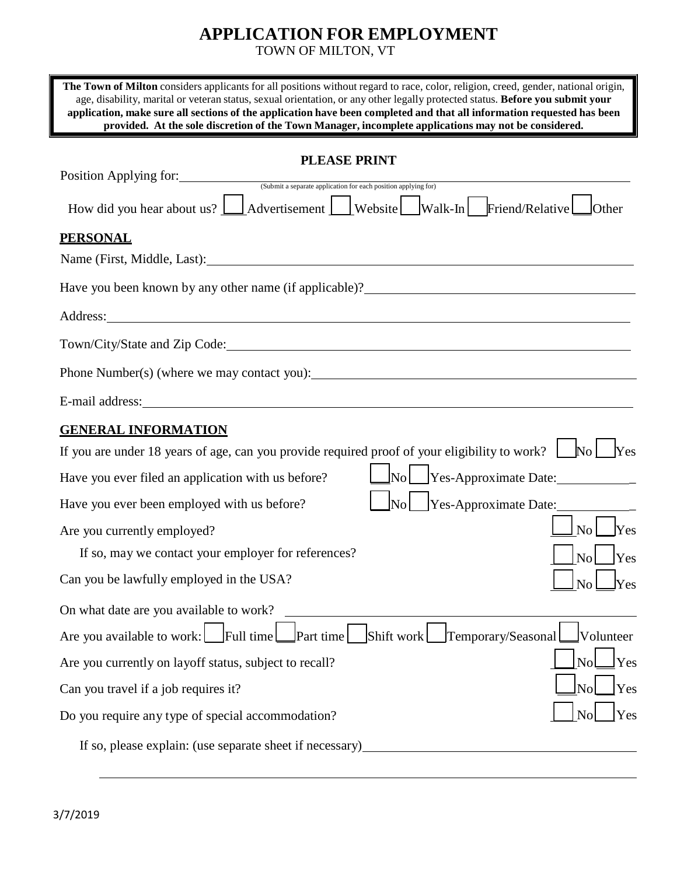# **APPLICATION FOR EMPLOYMENT**

TOWN OF MILTON, VT

| The Town of Milton considers applicants for all positions without regard to race, color, religion, creed, gender, national origin,<br>age, disability, marital or veteran status, sexual orientation, or any other legally protected status. Before you submit your<br>application, make sure all sections of the application have been completed and that all information requested has been<br>provided. At the sole discretion of the Town Manager, incomplete applications may not be considered. |
|-------------------------------------------------------------------------------------------------------------------------------------------------------------------------------------------------------------------------------------------------------------------------------------------------------------------------------------------------------------------------------------------------------------------------------------------------------------------------------------------------------|
| <b>PLEASE PRINT</b><br>Position Applying for:<br>(Submit a separate application for each position applying for)                                                                                                                                                                                                                                                                                                                                                                                       |
| How did you hear about us? $\Box$ Advertisement $\Box$ Website $\Box$ Walk-In Friend/Relative $\Box$ Other                                                                                                                                                                                                                                                                                                                                                                                            |
| <b>PERSONAL</b>                                                                                                                                                                                                                                                                                                                                                                                                                                                                                       |
| Name (First, Middle, Last): Name (First, Middle, Last):                                                                                                                                                                                                                                                                                                                                                                                                                                               |
| Have you been known by any other name (if applicable)?<br><u>Letting</u> the state of the state of the state of the state of the state of the state of the state of the state of the state of the state of the state of the state of                                                                                                                                                                                                                                                                  |
| Address: <u>example and the set of the set of the set of the set of the set of the set of the set of the set of the set of the set of the set of the set of the set of the set of the set of the set of the set of the set of th</u>                                                                                                                                                                                                                                                                  |
| Town/City/State and Zip Code: 1986. The Context of the Country of the Country of Town 1986.                                                                                                                                                                                                                                                                                                                                                                                                           |
|                                                                                                                                                                                                                                                                                                                                                                                                                                                                                                       |
| E-mail address: Note and the set of the set of the set of the set of the set of the set of the set of the set of the set of the set of the set of the set of the set of the set of the set of the set of the set of the set of                                                                                                                                                                                                                                                                        |
| <b>GENERAL INFORMATION</b>                                                                                                                                                                                                                                                                                                                                                                                                                                                                            |
| If you are under 18 years of age, can you provide required proof of your eligibility to work? $\Box$ No $\Box$ Yes                                                                                                                                                                                                                                                                                                                                                                                    |
| $\Box$ No $\Box$ Yes-Approximate Date:<br>Have you ever filed an application with us before?                                                                                                                                                                                                                                                                                                                                                                                                          |
| Yes-Approximate Date:<br>$\overline{\text{No}}$<br>Have you ever been employed with us before?                                                                                                                                                                                                                                                                                                                                                                                                        |
| <b>Yes</b><br>N <sub>0</sub><br>Are you currently employed?                                                                                                                                                                                                                                                                                                                                                                                                                                           |
| If so, may we contact your employer for references?<br>$\vert$ No $\vert$<br>Yes                                                                                                                                                                                                                                                                                                                                                                                                                      |
| Can you be lawfully employed in the USA?<br>$\operatorname{Yes}$                                                                                                                                                                                                                                                                                                                                                                                                                                      |
| On what date are you available to work?                                                                                                                                                                                                                                                                                                                                                                                                                                                               |
| Temporary/Seasonal<br>Are you available to work: Full time Part time<br>Shift work<br>Volunteer                                                                                                                                                                                                                                                                                                                                                                                                       |
| Yes<br>Are you currently on layoff status, subject to recall?                                                                                                                                                                                                                                                                                                                                                                                                                                         |
| Yes<br>Can you travel if a job requires it?                                                                                                                                                                                                                                                                                                                                                                                                                                                           |
| Yes<br>Do you require any type of special accommodation?                                                                                                                                                                                                                                                                                                                                                                                                                                              |
| If so, please explain: (use separate sheet if necessary)                                                                                                                                                                                                                                                                                                                                                                                                                                              |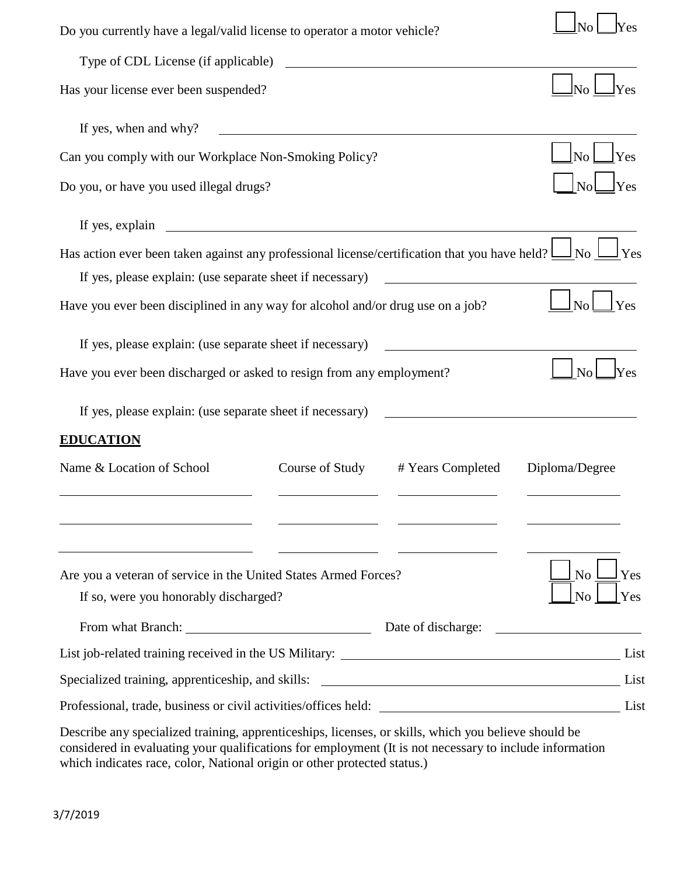| Do you currently have a legal/valid license to operator a motor vehicle?                                                                                                                                                          |                                                                                                                                                                                                                                      |                                                       |  |
|-----------------------------------------------------------------------------------------------------------------------------------------------------------------------------------------------------------------------------------|--------------------------------------------------------------------------------------------------------------------------------------------------------------------------------------------------------------------------------------|-------------------------------------------------------|--|
| Type of CDL License (if applicable)                                                                                                                                                                                               |                                                                                                                                                                                                                                      |                                                       |  |
| Has your license ever been suspended?                                                                                                                                                                                             |                                                                                                                                                                                                                                      |                                                       |  |
| If yes, when and why?<br><u> 1989 - Johann Harry Harry Harry Harry Harry Harry Harry Harry Harry Harry Harry Harry Harry Harry Harry Harry</u>                                                                                    |                                                                                                                                                                                                                                      |                                                       |  |
| Can you comply with our Workplace Non-Smoking Policy?                                                                                                                                                                             |                                                                                                                                                                                                                                      | $\mathbf{\mathbf{\mathsf{No}}}$ $\mathbf{\mathsf{I}}$ |  |
| Do you, or have you used illegal drugs?                                                                                                                                                                                           |                                                                                                                                                                                                                                      |                                                       |  |
| If yes, explain<br><u> 1989 - Johann Barbara, martin amerikan basal dan berasal dan berasal dalam basal dan berasal dan berasal dan</u>                                                                                           |                                                                                                                                                                                                                                      |                                                       |  |
| Has action ever been taken against any professional license/certification that you have held? $\underline{\cup}$ No $\underline{\cup}$<br>If yes, please explain: (use separate sheet if necessary)                               | <u>and the community of the community of the community of the community of the community of the community of the community of the community of the community of the community of the community of the community of the community</u> |                                                       |  |
| Have you ever been disciplined in any way for alcohol and/or drug use on a job?                                                                                                                                                   |                                                                                                                                                                                                                                      | No<br>Yes                                             |  |
| If yes, please explain: (use separate sheet if necessary)<br>Have you ever been discharged or asked to resign from any employment?<br>If yes, please explain: (use separate sheet if necessary)<br><b>EDUCATION</b>               |                                                                                                                                                                                                                                      |                                                       |  |
| Name & Location of School<br>Course of Study                                                                                                                                                                                      | # Years Completed                                                                                                                                                                                                                    | Diploma/Degree                                        |  |
| <u> 2000 - Andrea Aonaichte ann an Comhair ann an Comhair ann an Comhair ann an Comhair ann an Comhair ann an Com</u><br>Are you a veteran of service in the United States Armed Forces?<br>If so, were you honorably discharged? |                                                                                                                                                                                                                                      | N <sub>o</sub><br>Yes<br>N <sub>o</sub><br>Yes        |  |
|                                                                                                                                                                                                                                   |                                                                                                                                                                                                                                      |                                                       |  |
|                                                                                                                                                                                                                                   |                                                                                                                                                                                                                                      | List                                                  |  |
| Professional, trade, business or civil activities/offices held: List                                                                                                                                                              |                                                                                                                                                                                                                                      |                                                       |  |
| December on a considered testation commentionships, linearned an abillo which you haling should be                                                                                                                                |                                                                                                                                                                                                                                      |                                                       |  |

Describe any specialized training, apprenticeships, licenses, or skills, which you believe should be considered in evaluating your qualifications for employment (It is not necessary to include information which indicates race, color, National origin or other protected status.)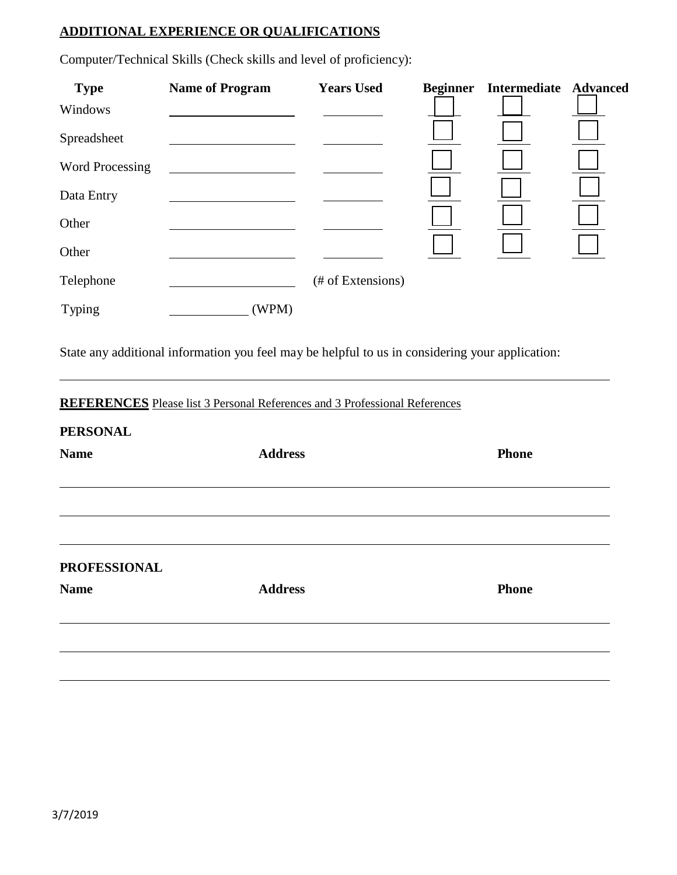# **ADDITIONAL EXPERIENCE OR QUALIFICATIONS**

| <b>Type</b><br>Windows | <b>Name of Program</b>                                                            | <b>Years Used</b> | <b>Beginner</b> | Intermediate Advanced |  |
|------------------------|-----------------------------------------------------------------------------------|-------------------|-----------------|-----------------------|--|
| Spreadsheet            |                                                                                   |                   |                 |                       |  |
| <b>Word Processing</b> |                                                                                   |                   |                 |                       |  |
| Data Entry             |                                                                                   |                   |                 |                       |  |
| Other<br>Other         |                                                                                   |                   |                 |                       |  |
|                        |                                                                                   |                   |                 |                       |  |
| Typing                 | (WPM)                                                                             |                   |                 |                       |  |
| <b>PERSONAL</b>        | <b>REFERENCES</b> Please list 3 Personal References and 3 Professional References |                   |                 |                       |  |
| <b>Name</b>            | <b>Address</b>                                                                    |                   |                 | <b>Phone</b>          |  |
| <b>PROFESSIONAL</b>    |                                                                                   |                   |                 |                       |  |
| <b>Name</b>            | <b>Address</b>                                                                    |                   |                 | <b>Phone</b>          |  |
|                        |                                                                                   |                   |                 |                       |  |

Computer/Technical Skills (Check skills and level of proficiency):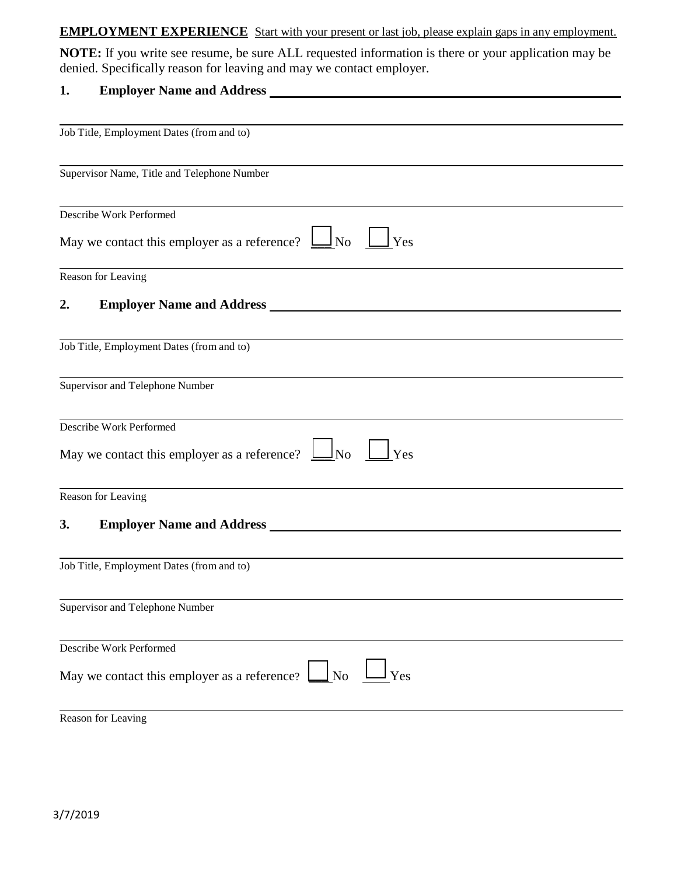#### **EMPLOYMENT EXPERIENCE** Start with your present or last job, please explain gaps in any employment.

**NOTE:** If you write see resume, be sure ALL requested information is there or your application may be denied. Specifically reason for leaving and may we contact employer.

# **1. Employer Name and Address**

| Job Title, Employment Dates (from and to)                                              |
|----------------------------------------------------------------------------------------|
| Supervisor Name, Title and Telephone Number                                            |
| Describe Work Performed                                                                |
| May we contact this employer as a reference?<br>$\frac{1}{2}$ No<br>l Yes              |
| Reason for Leaving                                                                     |
| 2.                                                                                     |
| Job Title, Employment Dates (from and to)                                              |
| Supervisor and Telephone Number                                                        |
| Describe Work Performed                                                                |
| May we contact this employer as a reference?<br>$\ln$<br>Yes                           |
| Reason for Leaving                                                                     |
| 3.                                                                                     |
| Job Title, Employment Dates (from and to)                                              |
| Supervisor and Telephone Number                                                        |
| Describe Work Performed                                                                |
| $\Box$ No<br>Yes<br>May we contact this employer as a reference? $\boxed{\phantom{a}}$ |
| Reason for Leaving                                                                     |